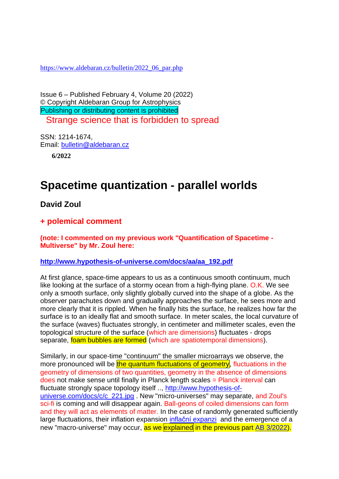[https://www.aldebaran.cz/bulletin/2022\\_06\\_par.php](https://www.aldebaran.cz/bulletin/2022_06_par.php)

Issue 6 – Published February 4, Volume 20 (2022) © Copyright Aldebaran Group for Astrophysics Publishing or distributing content is prohibited Strange science that is forbidden to spread

SSN: 1214-1674, Email: [bulletin@aldebaran.cz](mailto:bulletin@aldebaran.cz?subject=Aldebaran%20Bulletin)

**6/2022**

# **Spacetime quantization - parallel worlds**

**David Zoul** 

## **+ polemical comment**

**(note: I commented on my previous work "Quantification of Spacetime - Multiverse" by Mr. Zoul here:**

### **[http://www.hypothesis-of-universe.com/docs/aa/aa\\_192.pdf](http://www.hypothesis-of-universe.com/docs/aa/aa_192.pdf)**

At first glance, space-time appears to us as a continuous smooth continuum, much like looking at the surface of a stormy ocean from a high-flying plane. O.K. We see only a smooth surface, only slightly globally curved into the shape of a globe. As the observer parachutes down and gradually approaches the surface, he sees more and more clearly that it is rippled. When he finally hits the surface, he realizes how far the surface is to an ideally flat and smooth surface. In meter scales, the local curvature of the surface (waves) fluctuates strongly, in centimeter and millimeter scales, even the topological structure of the surface (which are dimensions) fluctuates - drops separate, foam bubbles are formed (which are spatiotemporal dimensions).

Similarly, in our space-time "continuum" the smaller microarrays we observe, the more pronounced will be the quantum fluctuations of geometry, fluctuations in the geometry of dimensions of two quantities, geometry in the absence of dimensions does not make sense until finally in Planck length scales = Planck interval can fluctuate strongly space topology itself .., [http://www.hypothesis-of](http://www.hypothesis-of-universe.com/docs/c/c_221.jpg)[universe.com/docs/c/c\\_221.jpg](http://www.hypothesis-of-universe.com/docs/c/c_221.jpg) . New "micro-universes" may separate, and Zoul's sci-fi is coming and will disappear again. Ball-geons of coiled dimensions can form and they will act as elements of matter. In the case of randomly generated sufficiently large fluctuations, their inflation expansion [inflační expanzi](https://www.aldebaran.cz/glossary/print.php?id=730) and the emergence of a new "macro-universe" may occur, as we explained in the previous part AB [3/2022\)](https://www.aldebaran.cz/bulletin/2022_03_mul.php).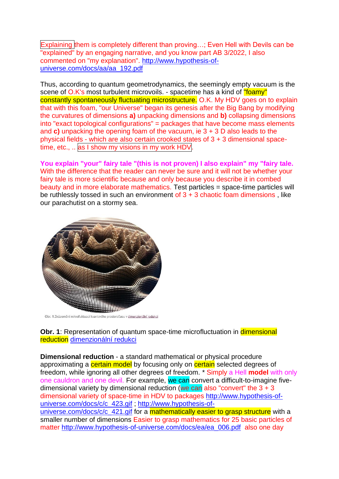Explaining them is completely different than proving…; Even Hell with Devils can be "explained" by an engaging narrative, and you know part AB 3/2022, I also commented on "my explanation". [http://www.hypothesis-of](http://www.hypothesis-of-universe.com/docs/aa/aa_192.pdf)[universe.com/docs/aa/aa\\_192.pdf](http://www.hypothesis-of-universe.com/docs/aa/aa_192.pdf)

Thus, according to quantum geometrodynamics, the seemingly empty vacuum is the scene of O.K's most turbulent microvoils. - spacetime has a kind of "foamy" constantly spontaneously fluctuating microstructure. O.K. My HDV goes on to explain that with this foam, "our Universe" began its genesis after the Big Bang by modifying the curvatures of dimensions **a)** unpacking dimensions and **b)** collapsing dimensions into "exact topological configurations" = packages that have become mass elements and **c)** unpacking the opening foam of the vacuum, ie 3 + 3 D also leads to the physical fields - which are also certain crooked states of 3 + 3 dimensional spacetime, etc., .. as I show my visions in my work HDV.

**You explain "your" fairy tale "(this is not proven) I also explain" my "fairy tale.** With the difference that the reader can never be sure and it will not be whether your fairy tale is more scientific because and only because you describe it in combed beauty and in more elaborate mathematics. Test particles = space-time particles will be ruthlessly tossed in such an environment of  $3 + 3$  chaotic foam dimensions, like our parachutist on a stormy sea.



Obr. 1:Znázornění mikrofluktuací kvantového prostoročasu v dimenzionální redukci

**Obr.** 1: Representation of quantum space-time microfluctuation in **dimensional** reduction [dimenzionální redukci](https://www.aldebaran.cz/glossary/print.php?id=2527)

**Dimensional reduction** - a standard mathematical or physical procedure approximating a certain model by focusing only on certain selected degrees of freedom, while ignoring all other degrees of freedom. \* Simply a Hell **model** with only one cauldron and one devil. For example, we can convert a difficult-to-imagine fivedimensional variety by dimensional reduction (we can also "convert" the  $3 + 3$ dimensional variety of space-time in HDV to packages [http://www.hypothesis-of](http://www.hypothesis-of-universe.com/docs/c/c_423.gif)[universe.com/docs/c/c\\_423.gif](http://www.hypothesis-of-universe.com/docs/c/c_423.gif) ; [http://www.hypothesis-of](http://www.hypothesis-of-universe.com/docs/c/c_421.gif)[universe.com/docs/c/c\\_421.gif](http://www.hypothesis-of-universe.com/docs/c/c_421.gif) for a mathematically easier to grasp structure with a smaller number of dimensions Easier to grasp mathematics for 25 basic particles of matter [http://www.hypothesis-of-universe.com/docs/ea/ea\\_006.pdf](http://www.hypothesis-of-universe.com/docs/ea/ea_006.pdf) also one day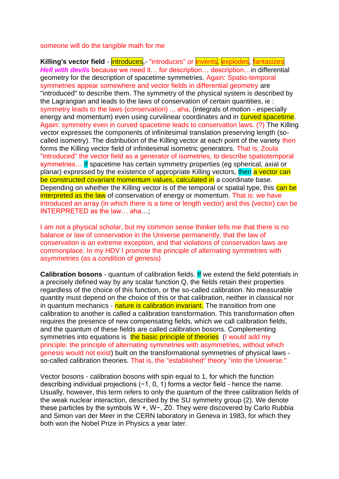### someone will do the tangible math for me

**Killing's vector field** - **introduces**,- "introduces" or **invents, explodes**, fantasizes *Hell with devils* because we need it… for description… description…in differential geometry for the description of spacetime symmetries. Again: Spatio-temporal symmetries appear somewhere and vector fields in differential geometry are "introduced" to describe them. The symmetry of the physical system is described by the Lagrangian and leads to the laws of conservation of certain quantities, ie : symmetry leads to the laws (conservation) .., aha, (integrals of motion - especially energy and momentum) even using curvilinear coordinates and in **curved spacetime**. Again: symmetry even in curved spacetime leads to conservation laws. (?) The Killing vector expresses the components of infinitesimal translation preserving length (socalled isometry). The distribution of the Killing vector at each point of the variety then forms the Killing vector field of infinitesimal isometric generators. That is, Zoula "introduced" the vector field as a generator of isometries, to describe spatiotemporal symmetries... If spacetime has certain symmetry properties (eg spherical, axial or planar) expressed by the existence of appropriate Killing vectors, then a vector can be constructed covariant momentum values, calculated in a coordinate base. Depending on whether the Killing vector is of the temporal or spatial type, this can be interpreted as the law of conservation of energy or momentum. That is: we have introduced an array (in which there is a time or length vector) and this (vector) can be INTERPRETED as the law… aha…;

I am not a physical scholar, but my common sense thinker tells me that there is no balance or law of conservation in the Universe permanently, that the law of conservation is an extreme exception, and that violations of conservation laws are commonplace. In my HDV I promote the principle of alternating symmetries with asymmetries (as a condition of genesis)

**Calibration bosons** - quantum of calibration fields. If we extend the field potentials in a precisely defined way by any scalar function Q, the fields retain their properties regardless of the choice of this function, or the so-called calibration. No measurable quantity must depend on the choice of this or that calibration, neither in classical nor in quantum mechanics - nature is calibration invariant. The transition from one calibration to another is called a calibration transformation. This transformation often requires the presence of new compensating fields, which we call calibration fields, and the quantum of these fields are called calibration bosons. Complementing symmetries into equations is the basic principle of theories (I would add my principle: the principle of alternating symmetries with asymmetries, without which genesis would not exist) built on the transformational symmetries of physical laws so-called calibration theories. That is, the "established" theory "into the Universe."

Vector bosons - calibration bosons with spin equal to 1, for which the function describing individual projections (−1, 0, 1) forms a vector field - hence the name. Usually, however, this term refers to only the quantum of the three calibration fields of the weak nuclear interaction, described by the SU symmetry group (2). We denote these particles by the symbols W +, W−, Z0. They were discovered by Carlo Rubbia and Simon van der Meer in the CERN laboratory in Geneva in 1983, for which they both won the Nobel Prize in Physics a year later.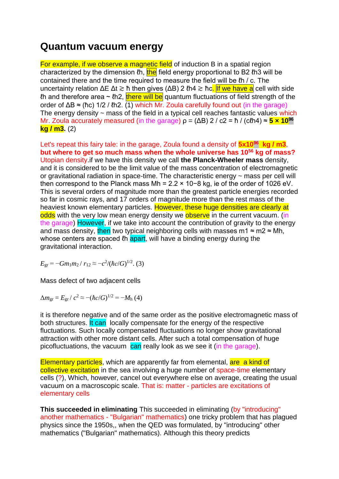# **Quantum vacuum energy**

For example, if we observe a magnetic field of induction B in a spatial region characterized by the dimension  $\ell$ h,  $\frac{f}{f}$  field energy proportional to B2  $\ell$ h3 will be contained there and the time required to measure the field will be ℓh / c. The uncertainty relation ΔE  $\Delta t \gtrsim \hbar$  then gives ( $\Delta B$ ) 2 *lh4*  $\gtrsim \hbar c$ . If we have a cell with side In and therefore area  $\sim$  *lh2*, there will be quantum fluctuations of field strength of the order of  $\Delta B \approx$  (hc) 1/2 / (h2. (1) which Mr. Zoula carefully found out (in the garage) The energy density  $\sim$  mass of the field in a typical cell reaches fantastic values which Mr. Zoula accurately measured (in the garage)  $\rho = (\Delta B) 2 / c2 = h / (c/h4) \approx 5 \times 10^{96}$ **kg / m3.** (2)

Let's repeat this fairy tale: in the garage, Zoula found a density of  $5x10^{96}$  kg / m3, **but where to get so much mass when the whole universe has 10<sup>56</sup> kg of mass?** Utopian density.if we have this density we call **the Planck-Wheeler mass** density, and it is considered to be the limit value of the mass concentration of electromagnetic or gravitational radiation in space-time. The characteristic energy ~ mass per cell will then correspond to the Planck mass Mh = 2.2 × 10−8 kg, ie of the order of 1026 eV. This is several orders of magnitude more than the greatest particle energies recorded so far in cosmic rays, and 17 orders of magnitude more than the rest mass of the heaviest known elementary particles. However, these huge densities are clearly at odds with the very low mean energy density we observe in the current vacuum. (in the garage) However, if we take into account the contribution of gravity to the energy and mass density, then two typical neighboring cells with masses m1  $\approx$  m2  $\approx$  Mh, whose centers are spaced *lh* apart, will have a binding energy during the gravitational interaction.

 $E_{\rm gr} = -Gm_1m_2 / r_{12} \approx -c^2/(\hbar c/G)^{1/2}$ . (3)

Mass defect of two adjacent cells

 $\Delta m_{\rm gr} = E_{\rm gr} / c^2 \approx -(\hbar c/G)^{1/2} = -M_{\rm h} (4)$ 

it is therefore negative and of the same order as the positive electromagnetic mass of both structures. It can locally compensate for the energy of the respective fluctuations. Such locally compensated fluctuations no longer show gravitational attraction with other more distant cells. After such a total compensation of huge picofluctuations, the vacuum  $\frac{\text{can}}{\text{can}}$  really look as we see it (in the garage).

Elementary particles, which are apparently far from elemental, are a kind of collective excitation in the sea involving a huge number of space-time elementary cells (?), Which, however, cancel out everywhere else on average, creating the usual vacuum on a macroscopic scale. That is: matter - particles are excitations of elementary cells

**This succeeded in eliminating** This succeeded in eliminating (by "introducing" another mathematics - "Bulgarian" mathematics) one tricky problem that has plagued physics since the 1950s,, when the QED was formulated, by "introducing" other mathematics ("Bulgarian" mathematics). Although this theory predicts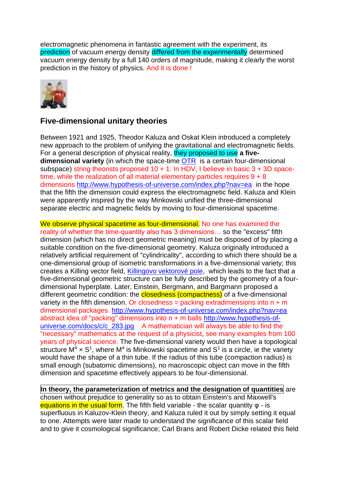electromagnetic phenomena in fantastic agreement with the experiment, its prediction of vacuum energy density differed from the experimentally determined vacuum energy density by a full 140 orders of magnitude, making it clearly the worst prediction in the history of physics. And it is done !



## **Five-dimensional unitary theories**

Between 1921 and 1925, Theodor Kaluza and Oskat Klein introduced a completely new approach to the problem of unifying the gravitational and electromagnetic fields. For a general description of physical reality, they proposed to use **a fivedimensional variety** (in which the space-time [OTR](https://www.aldebaran.cz/glossary/print.php?id=244) is a certain four-dimensional subspace) string theorists proposed  $10 + 1$ . In HDV, I believe in basic  $3 + 3D$  spacetime, while the realization of all material elementary particles requires  $9 + 8$ dimensions <http://www.hypothesis-of-universe.com/index.php?nav=ea>in the hope that the fifth the dimension could express the electromagnetic field. Kaluza and Klein were apparently inspired by the way Minkowski unified the three-dimensional separate electric and magnetic fields by moving to four-dimensional spacetime.

We observe physical spacetime as four-dimensional. No one has examined the reality of whether the time-quantity also has 3 dimensions… so the "excess" fifth dimension (which has no direct geometric meaning) must be disposed of by placing a suitable condition on the five-dimensional geometry. Kaluza originally introduced a relatively artificial requirement of "cylindricality", according to which there should be a one-dimensional group of isometric transformations in a five-dimensional variety; this creates a Killing vector field, [Killingovo vektorové pole,](https://www.aldebaran.cz/glossary/print.php?id=2542) which leads to the fact that a five-dimensional geometric structure can be fully described by the geometry of a fourdimensional hyperplate. Later, Einstein, Bergmann, and Bargmann proposed a different geometric condition: the **closedness (compactness)** of a five-dimensional variety in the fifth dimension. Or closedness = packing extradimensions into  $n + m$ dimensional packages. <http://www.hypothesis-of-universe.com/index.php?nav=ea> abstract idea of "packing" dimensions into n + m balls [http://www.hypothesis-of](http://www.hypothesis-of-universe.com/docs/c/c_283.jpg)[universe.com/docs/c/c\\_283.jpg](http://www.hypothesis-of-universe.com/docs/c/c_283.jpg) A mathematician will always be able to find the "necessary" mathematics at the request of a physicist, see many examples from 100 years of physical science. The five-dimensional variety would then have a topological structure  $M^4 \times S^1$ , where  $M^4$  is Minkowski spacetime and  $S^1$  is a circle, ie the variety would have the shape of a thin tube. If the radius of this tube (compaction radius) is small enough (subatomic dimensions), no macroscopic object can move in the fifth dimension and spacetime effectively appears to be four-dimensional.

**In theory, the parameterization of metrics and the designation of quantities** are chosen without prejudice to generality so as to obtain Einstein's and Maxwell's equations in the usual form. The fifth field variable - the scalar quantity φ - is superfluous in Kaluzov-Klein theory, and Kaluza ruled it out by simply setting it equal to one. Attempts were later made to understand the significance of this scalar field and to give it cosmological significance; Carl Brans and Robert Dicke related this field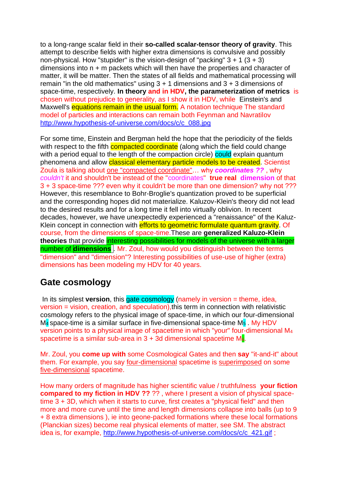to a long-range scalar field in their **so-called scalar-tensor theory of gravity**. This attempt to describe fields with higher extra dimensions is convulsive and possibly non-physical. How "stupider" is the vision-design of "packing"  $3 + 1$  ( $3 + 3$ ) dimensions into n + m packets which will then have the properties and character of matter, it will be matter. Then the states of all fields and mathematical processing will remain "in the old mathematics" using  $3 + 1$  dimensions and  $3 + 3$  dimensions of space-time, respectively. **In theory and in HDV, the parameterization of metrics** is chosen without prejudice to generality, as I show it in HDV, while Einstein's and Maxwell's equations remain in the usual form. A notation technique The standard model of particles and interactions can remain both Feynman and Navratilov [http://www.hypothesis-of-universe.com/docs/c/c\\_088.jpg](http://www.hypothesis-of-universe.com/docs/c/c_088.jpg)

For some time, Einstein and Bergman held the hope that the periodicity of the fields with respect to the fifth **compacted coordinate** (along which the field could change with a period equal to the length of the compaction circle) could explain quantum phenomena and allow classical elementary particle models to be created. Scientist Zoula is talking about one "compacted coordinate"… why *coordinates ??* , why *couldn't* it and shouldn't be instead of the "coordinates" **true real dimension** of that 3 + 3 space-time ??? even why it couldn't be more than one dimension? why not ??? However, this resemblance to Bohr-Broglie's quantization proved to be superficial and the corresponding hopes did not materialize. Kaluzov-Klein's theory did not lead to the desired results and for a long time it fell into virtually oblivion. In recent decades, however, we have unexpectedly experienced a "renaissance" of the Kaluz-Klein concept in connection with efforts to geometric formulate quantum gravity. Of course, from the dimensions of space-time.These are **generalized Kaluzo-Klein theories** that provide interesting possibilities for models of the universe with a larger number of **dimensions** . Mr. Zoul, how would you distinguish between the terms "dimension" and "dimension"? Interesting possibilities of use-use of higher (extra) dimensions has been modeling my HDV for 40 years.

## **Gate cosmology**

In its simplest **version**, this gate cosmology (namely in version = theme, idea, version = vision, creation, and speculation),this term in connection with relativistic cosmology refers to the physical image of space-time, in which our four-dimensional  $M_4$  space-time is a similar surface in five-dimensional space-time  $M_5$ . My HDV version points to a physical image of spacetime in which "your" four-dimensional M<sup>4</sup> spacetime is a similar sub-area in  $3 + 3d$  dimensional spacetime  $M_6$ .

Mr. Zoul, you **come up with** some Cosmological Gates and then **say** "it-and-it" about them. For example, you say four-dimensional spacetime is superimposed on some five-dimensional spacetime.

How many orders of magnitude has higher scientific value / truthfulness **your fiction compared to my fiction in HDV ??** ?? , where I present a vision of physical spacetime 3 + 3D, which when it starts to curve, first creates a "physical field" and then more and more curve until the time and length dimensions collapse into balls (up to 9 + 8 extra dimensions ), ie into geone-packed formations where these local formations (Planckian sizes) become real physical elements of matter, see SM. The abstract idea is, for example, [http://www.hypothesis-of-universe.com/docs/c/c\\_421.gif](http://www.hypothesis-of-universe.com/docs/c/c_421.gif) :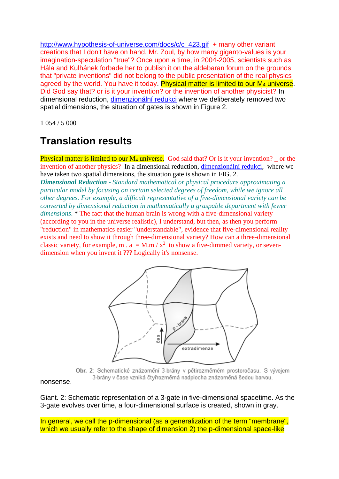[http://www.hypothesis-of-universe.com/docs/c/c\\_423.gif](http://www.hypothesis-of-universe.com/docs/c/c_423.gif) + many other variant creations that I don't have on hand. Mr. Zoul, by how many giganto-values is your imagination-speculation "true"? Once upon a time, in 2004-2005, scientists such as Hála and Kulhánek forbade her to publish it on the aldebaran forum on the grounds that "private inventions" did not belong to the public presentation of the real physics agreed by the world. You have it today. Physical matter is limited to our M<sub>4</sub> universe. Did God say that? or is it your invention? or the invention of another physicist? In dimensional reduction, [dimenzionální redukci](https://www.aldebaran.cz/glossary/print.php?id=2527) where we deliberately removed two spatial dimensions, the situation of gates is shown in Figure 2.

1 054 / 5 000

# **Translation results**

**Physical matter is limited to our M<sub>4</sub> universe.** God said that? Or is it your invention?  $\overline{\phantom{a}}$  or the invention of another physics? In a dimensional reduction, [dimenzionální redukci,](https://www.aldebaran.cz/glossary/print.php?id=2527) where we have taken two spatial dimensions, the situation gate is shown in FIG. 2.

*Dimensional Reduction - Standard mathematical or physical procedure approximating a particular model by focusing on certain selected degrees of freedom, while we ignore all other degrees. For example, a difficult representative of a five-dimensional variety can be converted by dimensional reduction in mathematically a graspable department with fewer dimensions*. \* The fact that the human brain is wrong with a five-dimensional variety (according to you in the universe realistic), I understand, but then, as then you perform "reduction" in mathematics easier "understandable", evidence that five-dimensional reality exists and need to show it through three-dimensional variety? How can a three-dimensional classic variety, for example, m .  $a = M.m / x^2$  to show a five-dimmed variety, or sevendimension when you invent it ??? Logically it's nonsense.



Obr. 2: Schematické znázornění 3-brány v pětirozměrném prostoročasu. S vývojem 3-brány v čase vzniká čtyřrozměrná nadplocha znázorněná šedou barvou.

nonsense.

Giant. 2: Schematic representation of a 3-gate in five-dimensional spacetime. As the 3-gate evolves over time, a four-dimensional surface is created, shown in gray.

In general, we call the p-dimensional (as a generalization of the term "membrane", which we usually refer to the shape of dimension 2) the p-dimensional space-like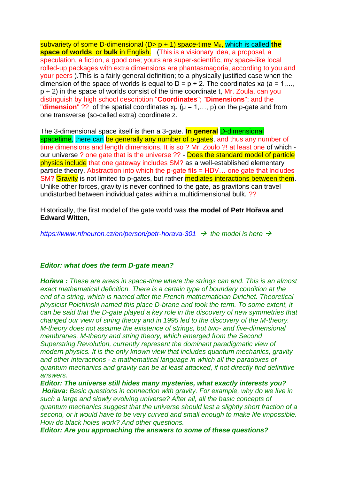subvariety of some D-dimensional (D> p + 1) space-time M<sub>d</sub>, which is called the **space of worlds**, or **bulk** in English. . (This is a visionary idea, a proposal, a speculation, a fiction, a good one; yours are super-scientific, my space-like local rolled-up packages with extra dimensions are phantasmagoria, according to you and your peers ).This is a fairly general definition; to a physically justified case when the dimension of the space of worlds is equal to  $D = p + 2$ . The coordinates xa (a = 1,...,  $p + 2$ ) in the space of worlds consist of the time coordinate t, Mr. Zoula, can you distinguish by high school description "**Coordinates**"; "**Dimensions**"; and the "**dimension**" ?? of the spatial coordinates  $x\mu$  ( $\mu$  = 1,..., p) on the p-gate and from one transverse (so-called extra) coordinate z.

The 3-dimensional space itself is then a 3-gate. **In general** D-dimensional spacetime, there can be generally any number of p-gates, and thus any number of time dimensions and length dimensions. It is so ? Mr. Zoulo ?! at least one of which our universe ? one gate that is the universe ?? - Does the standard model of particle physics include that one gateway includes SM? as a well-established elementary particle theory. Abstraction into which the p-gate fits = HDV… one gate that includes SM? Gravity is not limited to p-gates, but rather mediates interactions between them. Unlike other forces, gravity is never confined to the gate, as gravitons can travel undisturbed between individual gates within a multidimensional bulk. ??

Historically, the first model of the gate world was **the model of Petr Hořava and Edward Witten,**

*<https://www.nfneuron.cz/en/person/petr-horava-301>*→ *the model is here* →

### *Editor: what does the term D-gate mean?*

*Hořava : These are areas in space-time where the strings can end. This is an almost exact mathematical definition. There is a certain type of boundary condition at the end of a string, which is named after the French mathematician Dirichet. Theoretical physicist Polchinski named this place D-brane and took the term. To some extent, it can be said that the D-gate played a key role in the discovery of new symmetries that changed our view of string theory and in 1995 led to the discovery of the M-theory. M-theory does not assume the existence of strings, but two- and five-dimensional membranes. M-theory and string theory, which emerged from the Second Superstring Revolution, currently represent the dominant paradigmatic view of modern physics. It is the only known view that includes quantum mechanics, gravity and other interactions - a mathematical language in which all the paradoxes of quantum mechanics and gravity can be at least attacked, if not directly find definitive answers.* 

*Editor: The universe still hides many mysteries, what exactly interests you? Hořava: Basic questions in connection with gravity. For example, why do we live in such a large and slowly evolving universe? After all, all the basic concepts of quantum mechanics suggest that the universe should last a slightly short fraction of a second, or it would have to be very curved and small enough to make life impossible. How do black holes work? And other questions.* 

*Editor: Are you approaching the answers to some of these questions?*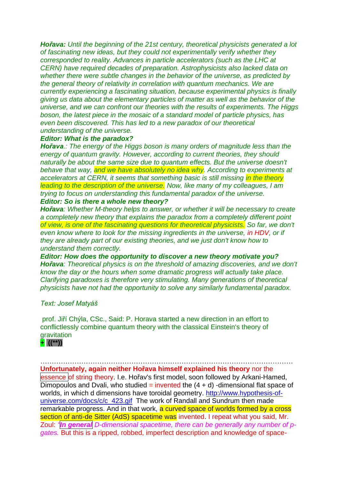*Hořava: Until the beginning of the 21st century, theoretical physicists generated a lot of fascinating new ideas, but they could not experimentally verify whether they corresponded to reality. Advances in particle accelerators (such as the LHC at CERN) have required decades of preparation. Astrophysicists also lacked data on whether there were subtle changes in the behavior of the universe, as predicted by the general theory of relativity in correlation with quantum mechanics. We are currently experiencing a fascinating situation, because experimental physics is finally giving us data about the elementary particles of matter as well as the behavior of the universe, and we can confront our theories with the results of experiments. The Higgs boson, the latest piece in the mosaic of a standard model of particle physics, has even been discovered. This has led to a new paradox of our theoretical understanding of the universe.* 

### *Editor: What is the paradox?*

*Hořava.: The energy of the Higgs boson is many orders of magnitude less than the energy of quantum gravity. However, according to current theories, they should naturally be about the same size due to quantum effects. But the universe doesn't*  behave that way, and we have absolutely no idea why. According to experiments at *accelerators at CERN, it seems that something basic is still missing in the theory leading to the description of the universe. Now, like many of my colleagues, I am trying to focus on understanding this fundamental paradox of the universe. Editor: So is there a whole new theory?* 

*Hořava: Whether M-theory helps to answer, or whether it will be necessary to create a completely new theory that explains the paradox from a completely different point of view, is one of the fascinating questions for theoretical physicists. So far, we don't*  even know where to look for the missing ingredients in the universe, in HDV, or if *they are already part of our existing theories, and we just don't know how to understand them correctly.* 

*Editor: How does the opportunity to discover a new theory motivate you? Hořava: Theoretical physics is on the threshold of amazing discoveries, and we don't know the day or the hours when some dramatic progress will actually take place. Clarifying paradoxes is therefore very stimulating. Many generations of theoretical physicists have not had the opportunity to solve any similarly fundamental paradox.* 

### *Text: Josef Matyáš*

prof. Jiří Chýla, CSc., Said: P. Horava started a new direction in an effort to conflictlessly combine quantum theory with the classical Einstein's theory of **gravitation** 



………………………………………………………………………………………………… **Unfortunately, again neither Hořava himself explained his theory** nor the essence of string theory. I.e. Hořav's first model, soon followed by Arkani-Hamed, Dimopoulos and Dvali, who studied = invented the  $(4 + d)$  -dimensional flat space of worlds, in which d dimensions have toroidal geometry. [http://www.hypothesis-of](http://www.hypothesis-of-universe.com/docs/c/c_423.gif)[universe.com/docs/c/c\\_423.gif](http://www.hypothesis-of-universe.com/docs/c/c_423.gif) The work of Randall and Sundrum then made remarkable progress. And in that work, a curved space of worlds formed by a cross section of anti-de Sitter (AdS) spacetime was invented. I repeat what you said, Mr. Zoul: *"In general D-dimensional spacetime, there can be generally any number of pgates.* But this is a ripped, robbed, imperfect description and knowledge of space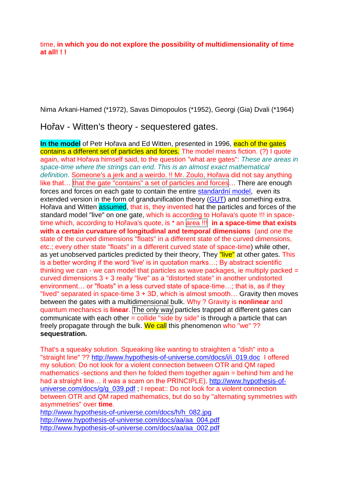time, **in which you do not explore the possibility of multidimensionality of time at all! ! !**

Nima Arkani-Hamed (\*1972), Savas Dimopoulos (\*1952), Georgi (Gia) Dvali (\*1964)

Hořav - Witten's theory - sequestered gates.

**In the model** of Petr Hořava and Ed Witten, presented in 1996, each of the gates contains a different set of particles and forces. The model means fiction. (?) I quote again, what Hořava himself said, to the question "what are gates": *These are areas in space-time where the strings can end. This is an almost exact mathematical definition.* Someone's a jerk and a weirdo. !! Mr. Zoulo, Hořava did not say anything like that... that the gate "contains" a set of particles and forces... There are enough forces and forces on each gate to contain the entire [standardní model,](https://www.aldebaran.cz/glossary/print.php?id=497) even its extended version in the form of grandunification theory [\(GUT\)](https://www.aldebaran.cz/glossary/print.php?id=1754) and something extra. Hořava and Witten assumed, that is, they invented hat the particles and forces of the standard model "live" on one gate, which is according to Hořava's quote !!! in spacetime which, according to Hořava's quote, is \* an area !!! **in a space-time that exists with a certain curvature of longitudinal and temporal dimensions** (and one the state of the curved dimensions "floats" in a different state of the curved dimensions, etc.; every other state "floats" in a different curved state of space-time) while other, as yet unobserved particles predicted by their theory, They "live" at other gates. This is a better wording if the word 'live' is in quotation marks...; By abstract scientific thinking we can - we can model that particles as wave packages, ie multiply packed  $=$ curved dimensions 3 + 3 really "live" as a "distorted state" in another undistorted environment… or "floats" in a less curved state of space-time…; that is, as if they "lived" separated in space-time 3 + 3D, which is almost smooth… Gravity then moves between the gates with a multidimensional bulk. Why ? Gravity is **nonlinear** and quantum mechanics is **linear**. The only way particles trapped at different gates can communicate with each other  $=$  collide "side by side" is through a particle that can freely propagate through the bulk. We call this phenomenon who "we" ?? **sequestration.**

That's a squeaky solution. Squeaking like wanting to straighten a "dish" into a "straight line" ?? [http://www.hypothesis-of-universe.com/docs/i/i\\_019.doc](http://www.hypothesis-of-universe.com/docs/i/i_019.doc) I offered my solution: Do not look for a violent connection between OTR and QM raped mathematics -sections and then he folded them together again = behind him and he had a straight line… it was a scam on the PRINCIPLE), [http://www.hypothesis-of](http://www.hypothesis-of-universe.com/docs/g/g_039.pdf)[universe.com/docs/g/g\\_039.pdf](http://www.hypothesis-of-universe.com/docs/g/g_039.pdf) : I repeat:: Do not look for a violent connection between OTR and QM raped mathematics, but do so by "alternating symmetries with asymmetries" over **time**.

[http://www.hypothesis-of-universe.com/docs/h/h\\_082.jpg](http://www.hypothesis-of-universe.com/docs/h/h_082.jpg) [http://www.hypothesis-of-universe.com/docs/aa/aa\\_004.pdf](http://www.hypothesis-of-universe.com/docs/aa/aa_004.pdf) [http://www.hypothesis-of-universe.com/docs/aa/aa\\_002.pdf](http://www.hypothesis-of-universe.com/docs/aa/aa_002.pdf)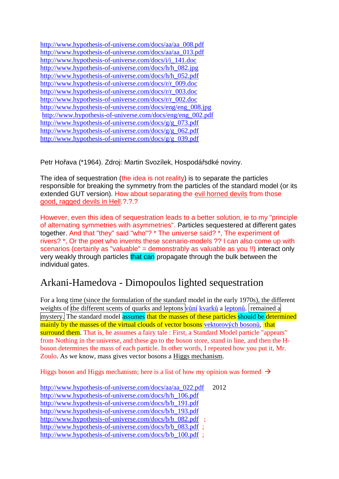| http://www.hypothesis-of-universe.com/docs/aa/aa_008.pdf   |
|------------------------------------------------------------|
| http://www.hypothesis-of-universe.com/docs/aa/aa_013.pdf   |
| http://www.hypothesis-of-universe.com/docs/i/i_141.doc     |
| http://www.hypothesis-of-universe.com/docs/h/h_082.jpg     |
| http://www.hypothesis-of-universe.com/docs/h/h_052.pdf     |
| http://www.hypothesis-of-universe.com/docs/r/r_009.doc     |
| http://www.hypothesis-of-universe.com/docs/r/r_003.doc     |
| http://www.hypothesis-of-universe.com/docs/r/r_002.doc     |
| http://www.hypothesis-of-universe.com/docs/eng/eng_008.jpg |
| http://www.hypothesis-of-universe.com/docs/eng/eng_002.pdf |
| http://www.hypothesis-of-universe.com/docs/g/g_073.pdf     |
| http://www.hypothesis-of-universe.com/docs/g/g_062.pdf     |
| http://www.hypothesis-of-universe.com/docs/g/g_039.pdf     |

Petr Hořava (\*1964). Zdroj: Martin Svozílek, Hospodářsdké noviny.

The idea of sequestration (the idea is not reality) is to separate the particles responsible for breaking the symmetry from the particles of the standard model (or its extended GUT version). How about separating the evil horned devils from those good, ragged devils in Hell.?.?.?

However, even this idea of sequestration leads to a better solution, ie to my "principle of alternating symmetries with asymmetries". Particles sequestered at different gates together. And that "they" said "who"? \* The universe said? \*, The experiment of rivers? \*, Or the poet who invents these scenario-models ?? I can also come up with scenarios (certainly as "valuable" = demonstrably as valuable as you !!) interact only very weakly through particles that can propagate through the bulk between the individual gates.

## Arkani-Hamedova - Dimopoulos lighted sequestration

For a long time (since the formulation of the standard model in the early 1970s), the different weights of the different scents of quarks and leptons [vůní](https://www.aldebaran.cz/glossary/print.php?id=683) [kvarků](https://www.aldebaran.cz/glossary/print.php?id=171) a [leptonů.](https://www.aldebaran.cz/glossary/print.php?id=558) remained a mystery. The standard model assumes that the masses of these particles should be determined mainly by the masses of the virtual clouds of vector bosons [vektorových bosonů,](https://www.aldebaran.cz/glossary/print.php?id=2544) that surround them. That is, he assumes a fairy tale : First, a Standard Model particle "appears" from Nothing in the universe, and these go to the boson store, stand in line, and then the Hboson determines the mass of each particle. In other words, I repeated how you put it, Mr. Zoulo. As we know, mass gives vector bosons a Higgs mechanism.

Higgs boson and Higgs mechanism; here is a list of how my opinion was formed  $\rightarrow$ 

| http://www.hypothesis-of-universe.com/docs/aa/aa_022.pdf | 2012 |
|----------------------------------------------------------|------|
| http://www.hypothesis-of-universe.com/docs/h/h_106.pdf   |      |
| http://www.hypothesis-of-universe.com/docs/b/b 191.pdf   |      |
| http://www.hypothesis-of-universe.com/docs/b/b 193.pdf   |      |
| http://www.hypothesis-of-universe.com/docs/b/b_082.pdf ; |      |
| http://www.hypothesis-of-universe.com/docs/b/b_083.pdf;  |      |
| http://www.hypothesis-of-universe.com/docs/b/b_100.pdf;  |      |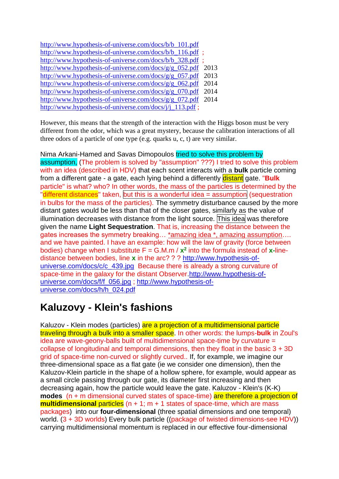| http://www.hypothesis-of-universe.com/docs/b/b_101.pdf  |      |
|---------------------------------------------------------|------|
| http://www.hypothesis-of-universe.com/docs/b/b_116.pdf; |      |
| http://www.hypothesis-of-universe.com/docs/b/b_328.pdf; |      |
| http://www.hypothesis-of-universe.com/docs/g/g_052.pdf  | 2013 |
| http://www.hypothesis-of-universe.com/docs/g/g_057.pdf  | 2013 |
| http://www.hypothesis-of-universe.com/docs/g/g_062.pdf  | 2014 |
| http://www.hypothesis-of-universe.com/docs/g/g_070.pdf  | 2014 |
| http://www.hypothesis-of-universe.com/docs/g/g_072.pdf  | 2014 |
| http://www.hypothesis-of-universe.com/docs/j/j 113.pdf; |      |

However, this means that the strength of the interaction with the Higgs boson must be very different from the odor, which was a great mystery, because the calibration interactions of all three odors of a particle of one type (e.g. quarks u, c, t) are very similar.

Nima Arkani-Hamed and Savas Dimopoulos tried to solve this problem by assumption, (The problem is solved by "assumption" ???) I tried to solve this problem with an idea (described in HDV) that each scent interacts with a **bulk** particle coming from a different gate - a gate, each lying behind a differently **distant** gate. "**Bulk** particle" is what? who? In other words, the mass of the particles is determined by the "different distances" taken, but this is a wonderful idea = assumption (sequestration in bulbs for the mass of the particles). The symmetry disturbance caused by the more distant gates would be less than that of the closer gates, similarly as the value of illumination decreases with distance from the light source. This idea was therefore given the name **Light Sequestration**. That is, increasing the distance between the gates increases the symmetry breaking… \*amazing idea \*, amazing assumption…. and we have painted. I have an example: how will the law of gravity (force between bodies) change when I substitute  $F = G.M.m / x^2$  into the formula instead of  $x$ -linedistance between bodies, line **x** in the arc? ? ? [http://www.hypothesis-of](http://www.hypothesis-of-universe.com/docs/c/c_439.jpg)[universe.com/docs/c/c\\_439.jpg](http://www.hypothesis-of-universe.com/docs/c/c_439.jpg) Because there is already a strong curvature of space-time in the galaxy for the distant Observer[.http://www.hypothesis-of](http://www.hypothesis-of-universe.com/docs/f/f_056.jpg)[universe.com/docs/f/f\\_056.jpg](http://www.hypothesis-of-universe.com/docs/f/f_056.jpg) ; [http://www.hypothesis-of](http://www.hypothesis-of-universe.com/docs/h/h_024.pdf)[universe.com/docs/h/h\\_024.pdf](http://www.hypothesis-of-universe.com/docs/h/h_024.pdf)

# **Kaluzovy - Klein's fashions**

Kaluzov - Klein modes (particles) are a projection of a multidimensional particle traveling through a bulk into a smaller space. In other words: the lumps-**bulk** in Zoul's idea are wave-geony-balls built of multidimensional space-time by curvature = collapse of longitudinal and temporal dimensions, then they float in the basic  $3 + 3D$ grid of space-time non-curved or slightly curved.. If, for example, we imagine our three-dimensional space as a flat gate (ie we consider one dimension), then the Kaluzov-Klein particle in the shape of a hollow sphere, for example, would appear as a small circle passing through our gate, its diameter first increasing and then decreasing again, how the particle would leave the gate. Kaluzov - Klein's (K-K) **modes** (n + m dimensional curved states of space-time) are therefore a projection of **multidimensional** particles (n + 1; m + 1 states of space-time, which are mass packages) into our **four-dimensional** (three spatial dimensions and one temporal) world. (3 + 3D worlds) Every bulk particle ((package of twisted dimensions-see HDV)) carrying multidimensional momentum is replaced in our effective four-dimensional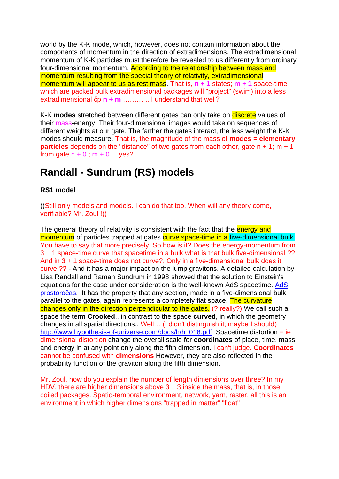world by the K-K mode, which, however, does not contain information about the components of momentum in the direction of extradimensions. The extradimensional momentum of K-K particles must therefore be revealed to us differently from ordinary four-dimensional momentum. According to the relationship between mass and momentum resulting from the special theory of relativity, extradimensional momentum will appear to us as rest mass. That is, **n + 1** states; **m + 1** space-time which are packed bulk extradimensional packages will "project" (swim) into a less extradimensional čp **n + m** ……… .. I understand that well?

K-K **modes** stretched between different gates can only take on discrete values of their mass-energy. Their four-dimensional images would take on sequences of different weights at our gate. The farther the gates interact, the less weight the K-K modes should measure. That is, the magnitude of the mass of **modes = elementary particles** depends on the "distance" of two gates from each other, gate n + 1; m + 1 from gate  $n + 0$ ;  $m + 0$ ... yes?

# **Randall - Sundrum (RS) models**

## **RS1 model**

((Still only models and models. I can do that too. When will any theory come, verifiable? Mr. Zoul !))

The general theory of relativity is consistent with the fact that the energy and momentum of particles trapped at gates curve space-time in a five-dimensional bulk. You have to say that more precisely. So how is it? Does the energy-momentum from 3 + 1 space-time curve that spacetime in a bulk what is that bulk five-dimensional ?? And in 3 + 1 space-time does not curve?, Only in a five-dimensional bulk does it curve ?? - And it has a major impact on the lump gravitons. A detailed calculation by Lisa Randall and Raman Sundrum in 1998 showed that the solution to Einstein's equations for the case under consideration is the well-known [AdS](https://www.aldebaran.cz/glossary/print.php?id=2524) spacetime. AdS [prostoročas.](https://www.aldebaran.cz/glossary/print.php?id=2524) It has the property that any section, made in a five-dimensional bulk parallel to the gates, again represents a completely flat space. The curvature changes only in the direction perpendicular to the gates. (? really?) We call such a space the term **Crooked**,, in contrast to the space **curved**, in which the geometry changes in all spatial directions.. Well… (I didn't distinguish it; maybe I should) [http://www.hypothesis-of-universe.com/docs/h/h\\_018.pdf](http://www.hypothesis-of-universe.com/docs/h/h_018.pdf) Spacetime distortion = ie dimensional distortion change the overall scale for **coordinates** of place, time, mass and energy in at any point only along the fifth dimension. I can't judge. **Coordinates**  cannot be confused with **dimensions** However, they are also reflected in the probability function of the graviton along the fifth dimension.

Mr. Zoul, how do you explain the number of length dimensions over three? In my HDV, there are higher dimensions above 3 + 3 inside the mass, that is, in those coiled packages. Spatio-temporal environment, network, yarn, raster, all this is an environment in which higher dimensions "trapped in matter" "float"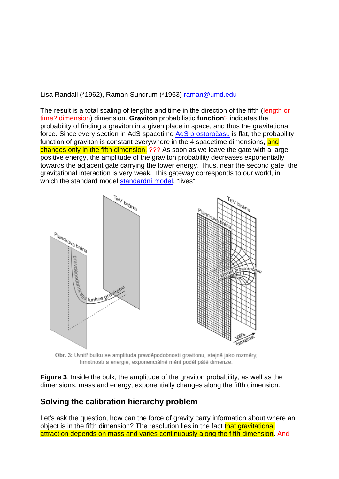Lisa Randall (\*1962), Raman Sundrum (\*1963) [raman@umd.edu](mailto:raman@umd.edu)

The result is a total scaling of lengths and time in the direction of the fifth (length or time? dimension) dimension. **Graviton** probabilistic **function**? indicates the probability of finding a graviton in a given place in space, and thus the gravitational force. Since every section in AdS spacetime [AdS prostoročasu](https://www.aldebaran.cz/glossary/print.php?id=2524) is flat, the probability function of graviton is constant everywhere in the 4 spacetime dimensions, and changes only in the fifth dimension. ??? As soon as we leave the gate with a large positive energy, the amplitude of the graviton probability decreases exponentially towards the adjacent gate carrying the lower energy. Thus, near the second gate, the gravitational interaction is very weak. This gateway corresponds to our world, in which the standard model [standardní model.](https://www.aldebaran.cz/glossary/print.php?id=497) "lives".



Obr. 3: Uvnitř bulku se amplituda pravděpodobnosti gravitonu, stejně jako rozměry, hmotnosti a energie, exponenciálně mění podél páté dimenze.

**Figure 3**: Inside the bulk, the amplitude of the graviton probability, as well as the dimensions, mass and energy, exponentially changes along the fifth dimension.

## **Solving the calibration hierarchy problem**

Let's ask the question, how can the force of gravity carry information about where an object is in the fifth dimension? The resolution lies in the fact that gravitational attraction depends on mass and varies continuously along the fifth dimension. And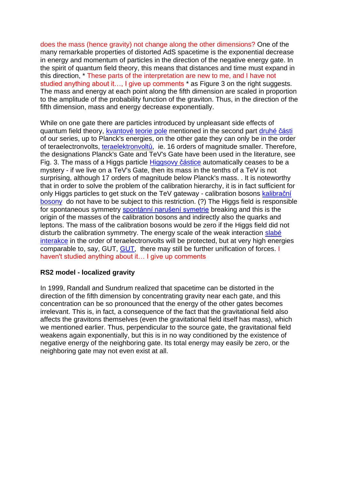does the mass (hence gravity) not change along the other dimensions? One of the many remarkable properties of distorted AdS spacetime is the exponential decrease in energy and momentum of particles in the direction of the negative energy gate. In the spirit of quantum field theory, this means that distances and time must expand in this direction, \* These parts of the interpretation are new to me, and I have not studied anything about it…, I give up comments \* as Figure 3 on the right suggests. The mass and energy at each point along the fifth dimension are scaled in proportion to the amplitude of the probability function of the graviton. Thus, in the direction of the fifth dimension, mass and energy decrease exponentially.

While on one gate there are particles introduced by unpleasant side effects of quantum field theory, [kvantové teorie pole](https://www.aldebaran.cz/glossary/print.php?id=1990) mentioned in the second part [druhé části](https://www.aldebaran.cz/bulletin/2021_43_zrn.php)  of our series, up to Planck's energies, on the other gate they can only be in the order of teraelectronvolts, [teraelektronvoltů,](https://www.aldebaran.cz/glossary/print.php?id=537) ie. 16 orders of magnitude smaller. Therefore, the designations Planck's Gate and TeV's Gate have been used in the literature, see Fig. 3. The mass of a Higgs particle [Higgsovy částice](https://www.aldebaran.cz/glossary/print.php?id=126) automatically ceases to be a mystery - if we live on a TeV's Gate, then its mass in the tenths of a TeV is not surprising, although 17 orders of magnitude below Planck's mass. . It is noteworthy that in order to solve the problem of the calibration hierarchy, it is in fact sufficient for only Higgs particles to get stuck on the TeV gateway - calibration bosons kalibrační [bosony](https://www.aldebaran.cz/glossary/print.php?id=2543) do not have to be subject to this restriction. (?) The Higgs field is responsible for spontaneous symmetry [spontánní narušení symetrie](https://www.aldebaran.cz/glossary/print.php?id=2509) breaking and this is the origin of the masses of the calibration bosons and indirectly also the quarks and leptons. The mass of the calibration bosons would be zero if the Higgs field did not disturb the calibration symmetry. The energy scale of the weak interaction slabé [interakce](https://www.aldebaran.cz/glossary/print.php?id=309) in the order of teraelectronvolts will be protected, but at very high energies comparable to, say, GUT, [GUT,](https://www.aldebaran.cz/glossary/print.php?id=1754) there may still be further unification of forces. I haven't studied anything about it… I give up comments

### **RS2 model - localized gravity**

In 1999, Randall and Sundrum realized that spacetime can be distorted in the direction of the fifth dimension by concentrating gravity near each gate, and this concentration can be so pronounced that the energy of the other gates becomes irrelevant. This is, in fact, a consequence of the fact that the gravitational field also affects the gravitons themselves (even the gravitational field itself has mass), which we mentioned earlier. Thus, perpendicular to the source gate, the gravitational field weakens again exponentially, but this is in no way conditioned by the existence of negative energy of the neighboring gate. Its total energy may easily be zero, or the neighboring gate may not even exist at all.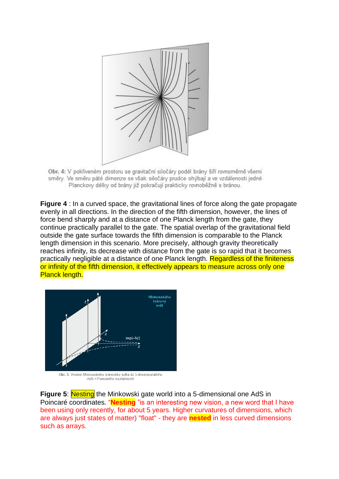

Obr. 4: V pokřiveném prostoru se gravitační siločáry podél brány šíří rovnoměrně všemi směry. Ve směru páté dimenze se však siločáry prudce ohýbají a ve vzdálenosti jedné Planckovy délky od brány již pokračují prakticky rovnoběžně s bránou.

**Figure 4** : In a curved space, the gravitational lines of force along the gate propagate evenly in all directions. In the direction of the fifth dimension, however, the lines of force bend sharply and at a distance of one Planck length from the gate, they continue practically parallel to the gate. The spatial overlap of the gravitational field outside the gate surface towards the fifth dimension is comparable to the Planck length dimension in this scenario. More precisely, although gravity theoretically reaches infinity, its decrease with distance from the gate is so rapid that it becomes practically negligible at a distance of one Planck length. Regardless of the finiteness or infinity of the fifth dimension, it effectively appears to measure across only one Planck length.



Obr. 5: Vnoření Minkowského bránového světa do 5-dimenzionálního AdS y Poincarého souřadnicích

**Figure 5:** Nesting the Minkowski gate world into a 5-dimensional one AdS in Poincaré coordinates. "**Nesting** "is an interesting new vision, a new word that I have been using only recently, for about 5 years. Higher curvatures of dimensions, which are always just states of matter) "float" - they are **nested** in less curved dimensions such as arrays.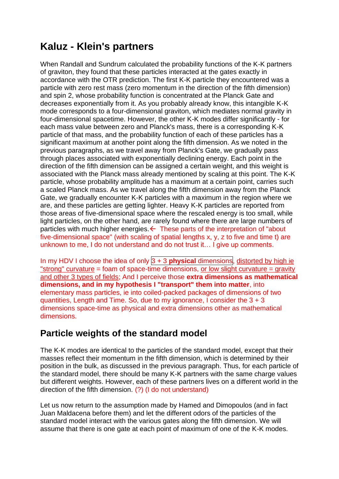# **Kaluz - Klein's partners**

When Randall and Sundrum calculated the probability functions of the K-K partners of graviton, they found that these particles interacted at the gates exactly in accordance with the OTR prediction. The first K-K particle they encountered was a particle with zero rest mass (zero momentum in the direction of the fifth dimension) and spin 2, whose probability function is concentrated at the Planck Gate and decreases exponentially from it. As you probably already know, this intangible K-K mode corresponds to a four-dimensional graviton, which mediates normal gravity in four-dimensional spacetime. However, the other K-K modes differ significantly - for each mass value between zero and Planck's mass, there is a corresponding K-K particle of that mass, and the probability function of each of these particles has a significant maximum at another point along the fifth dimension. As we noted in the previous paragraphs, as we travel away from Planck's Gate, we gradually pass through places associated with exponentially declining energy. Each point in the direction of the fifth dimension can be assigned a certain weight, and this weight is associated with the Planck mass already mentioned by scaling at this point. The K-K particle, whose probability amplitude has a maximum at a certain point, carries such a scaled Planck mass. As we travel along the fifth dimension away from the Planck Gate, we gradually encounter K-K particles with a maximum in the region where we are, and these particles are getting lighter. Heavy K-K particles are reported from those areas of five-dimensional space where the rescaled energy is too small, while light particles, on the other hand, are rarely found where there are large numbers of particles with much higher energies.  $\leftarrow$  These parts of the interpretation of "about five-dimensional space" (with scaling of spatial lengths x, y, z to five and time t) are unknown to me, I do not understand and do not trust it… I give up comments.

In my HDV I choose the idea of only 3 + 3 **physical** dimensions, distorted by high ie "strong" curvature = foam of space-time dimensions, or low slight curvature = gravity and other 3 types of fields; And I perceive those **extra dimensions as mathematical dimensions, and in my hypothesis I "transport" them into matter**, into elementary mass particles, ie into coiled-packed packages of dimensions of two quantities, Length and Time. So, due to my ignorance, I consider the  $3 + 3$ dimensions space-time as physical and extra dimensions other as mathematical dimensions.

## **Particle weights of the standard model**

The K-K modes are identical to the particles of the standard model, except that their masses reflect their momentum in the fifth dimension, which is determined by their position in the bulk, as discussed in the previous paragraph. Thus, for each particle of the standard model, there should be many K-K partners with the same charge values but different weights. However, each of these partners lives on a different world in the direction of the fifth dimension. (?) (I do not understand)

Let us now return to the assumption made by Hamed and Dimopoulos (and in fact Juan Maldacena before them) and let the different odors of the particles of the standard model interact with the various gates along the fifth dimension. We will assume that there is one gate at each point of maximum of one of the K-K modes.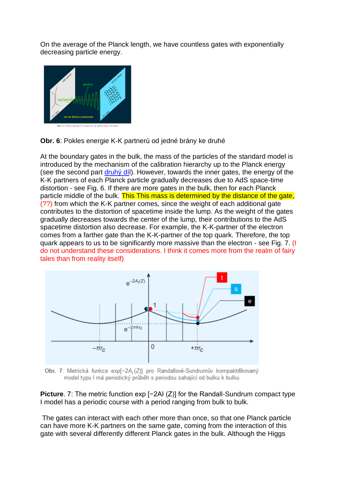On the average of the Planck length, we have countless gates with exponentially decreasing particle energy.



**Obr. 6**: Pokles energie K-K partnerů od jedné brány ke druhé

At the boundary gates in the bulk, the mass of the particles of the standard model is introduced by the mechanism of the calibration hierarchy up to the Planck energy (see the second part druhy dil). However, towards the inner gates, the energy of the K-K partners of each Planck particle gradually decreases due to AdS space-time distortion - see Fig. 6. If there are more gates in the bulk, then for each Planck particle middle of the bulk. This This mass is determined by the distance of the gate, (??) from which the K-K partner comes, since the weight of each additional gate contributes to the distortion of spacetime inside the lump. As the weight of the gates gradually decreases towards the center of the lump, their contributions to the AdS spacetime distortion also decrease. For example, the K-K-partner of the electron comes from a farther gate than the K-K-partner of the top quark. Therefore, the top quark appears to us to be significantly more massive than the electron - see Fig. 7. (I do not understand these considerations. I think it comes more from the realm of fairy tales than from reality itself)



Obr. 7: Metrická funkce exp[-2A<sub>1</sub>(Z)] pro Randallové-Sundrumův kompaktifikovaný model typu l má periodický průběh s periodou sahající od bulku k bulku

**Picture**. 7: The metric function exp [−2AI (Z)] for the Randall-Sundrum compact type I model has a periodic course with a period ranging from bulk to bulk.

The gates can interact with each other more than once, so that one Planck particle can have more K-K partners on the same gate, coming from the interaction of this gate with several differently different Planck gates in the bulk. Although the Higgs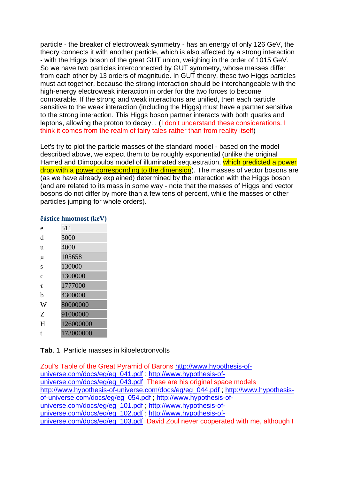particle - the breaker of electroweak symmetry - has an energy of only 126 GeV, the theory connects it with another particle, which is also affected by a strong interaction - with the Higgs boson of the great GUT union, weighing in the order of 1015 GeV. So we have two particles interconnected by GUT symmetry, whose masses differ from each other by 13 orders of magnitude. In GUT theory, these two Higgs particles must act together, because the strong interaction should be interchangeable with the high-energy electroweak interaction in order for the two forces to become comparable. If the strong and weak interactions are unified, then each particle sensitive to the weak interaction (including the Higgs) must have a partner sensitive to the strong interaction. This Higgs boson partner interacts with both quarks and leptons, allowing the proton to decay. . (I don't understand these considerations. I think it comes from the realm of fairy tales rather than from reality itself)

Let's try to plot the particle masses of the standard model - based on the model described above, we expect them to be roughly exponential (unlike the original Hamed and Dimopoulos model of illuminated sequestration, which predicted a power drop with a power corresponding to the dimension). The masses of vector bosons are (as we have already explained) determined by the interaction with the Higgs boson (and are related to its mass in some way - note that the masses of Higgs and vector bosons do not differ by more than a few tens of percent, while the masses of other particles jumping for whole orders).

### **částice hmotnost (keV)**

- e 511 d 3000 u 4000 μ 105658 s 130000 c 1300000 τ 1777000 b 4300000 W 80000000 Z 91000000
- H 126000000
- t 173000000
- 

**Tab**. 1: Particle masses in kiloelectronvolts

Zoul's Table of the Great Pyramid of Barons [http://www.hypothesis-of](http://www.hypothesis-of-universe.com/docs/eg/eg_041.pdf)[universe.com/docs/eg/eg\\_041.pdf](http://www.hypothesis-of-universe.com/docs/eg/eg_041.pdf) ; [http://www.hypothesis-of](http://www.hypothesis-of-universe.com/docs/eg/eg_043.pdf)[universe.com/docs/eg/eg\\_043.pdf](http://www.hypothesis-of-universe.com/docs/eg/eg_043.pdf) These are his original space models [http://www.hypothesis-of-universe.com/docs/eg/eg\\_044.pdf](http://www.hypothesis-of-universe.com/docs/eg/eg_044.pdf) ; [http://www.hypothesis](http://www.hypothesis-of-universe.com/docs/eg/eg_054.pdf)[of-universe.com/docs/eg/eg\\_054.pdf](http://www.hypothesis-of-universe.com/docs/eg/eg_054.pdf) ; [http://www.hypothesis-of](http://www.hypothesis-of-universe.com/docs/eg/eg_101.pdf)[universe.com/docs/eg/eg\\_101.pdf](http://www.hypothesis-of-universe.com/docs/eg/eg_101.pdf) ; [http://www.hypothesis-of](http://www.hypothesis-of-universe.com/docs/eg/eg_102.pdf)[universe.com/docs/eg/eg\\_102.pdf](http://www.hypothesis-of-universe.com/docs/eg/eg_102.pdf) ; [http://www.hypothesis-of](http://www.hypothesis-of-universe.com/docs/eg/eg_103.pdf)[universe.com/docs/eg/eg\\_103.pdf](http://www.hypothesis-of-universe.com/docs/eg/eg_103.pdf) David Zoul never cooperated with me, although I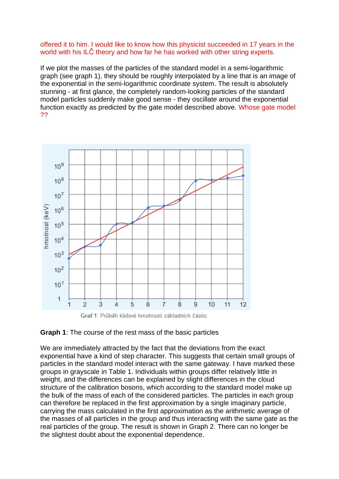### offered it to him. I would like to know how this physicist succeeded in 17 years in the world with his ILČ theory and how far he has worked with other string experts.

If we plot the masses of the particles of the standard model in a semi-logarithmic graph (see graph 1), they should be roughly interpolated by a line that is an image of the exponential in the semi-logarithmic coordinate system. The result is absolutely stunning - at first glance, the completely random-looking particles of the standard model particles suddenly make good sense - they oscillate around the exponential function exactly as predicted by the gate model described above. Whose gate model ??





We are immediately attracted by the fact that the deviations from the exact exponential have a kind of step character. This suggests that certain small groups of particles in the standard model interact with the same gateway. I have marked these groups in grayscale in Table 1. Individuals within groups differ relatively little in weight, and the differences can be explained by slight differences in the cloud structure of the calibration bosons, which according to the standard model make up the bulk of the mass of each of the considered particles. The particles in each group can therefore be replaced in the first approximation by a single imaginary particle, carrying the mass calculated in the first approximation as the arithmetic average of the masses of all particles in the group and thus interacting with the same gate as the real particles of the group. The result is shown in Graph 2. There can no longer be the slightest doubt about the exponential dependence.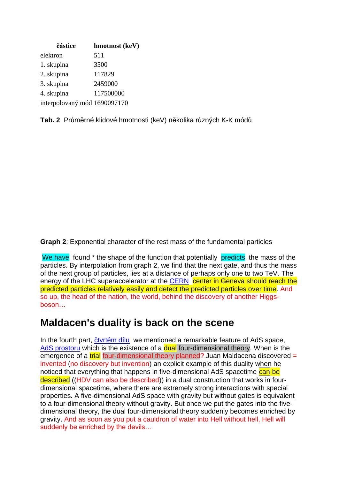| částice                      | hmotnost (keV) |
|------------------------------|----------------|
| elektron                     | 511            |
| 1. skupina                   | 3500           |
| 2. skupina                   | 117829         |
| 3. skupina                   | 2459000        |
| 4. skupina                   | 117500000      |
| interpolovaný mód 1690097170 |                |

**Tab. 2**: Průměrné klidové hmotnosti (keV) několika různých K-K módů

**Graph 2**: Exponential character of the rest mass of the fundamental particles

We have found \* the shape of the function that potentially predicts, the mass of the particles. By interpolation from graph 2, we find that the next gate, and thus the mass of the next group of particles, lies at a distance of perhaps only one to two TeV. The energy of the LHC superaccelerator at the [CERN](https://www.aldebaran.cz/glossary/print.php?id=495) center in Geneva should reach the predicted particles relatively easily and detect the predicted particles over time. And so up, the head of the nation, the world, behind the discovery of another Higgsboson…

# **Maldacen's duality is back on the scene**

In the fourth part, [čtvrtém dílu](https://www.aldebaran.cz/bulletin/2022_02_ent.php) we mentioned a remarkable feature of AdS space, [AdS prostoru](https://www.aldebaran.cz/glossary/print.php?id=2524) which is the existence of a **dual** four-dimensional theory. When is the emergence of a  $\frac{trial}{}$  four-dimensional theory planned? Juan Maldacena discovered = invented (no discovery but invention) an explicit example of this duality when he noticed that everything that happens in five-dimensional AdS spacetime can be described ((HDV can also be described)) in a dual construction that works in fourdimensional spacetime, where there are extremely strong interactions with special properties. A five-dimensional AdS space with gravity but without gates is equivalent to a four-dimensional theory without gravity. But once we put the gates into the fivedimensional theory, the dual four-dimensional theory suddenly becomes enriched by gravity. And as soon as you put a cauldron of water into Hell without hell, Hell will suddenly be enriched by the devils…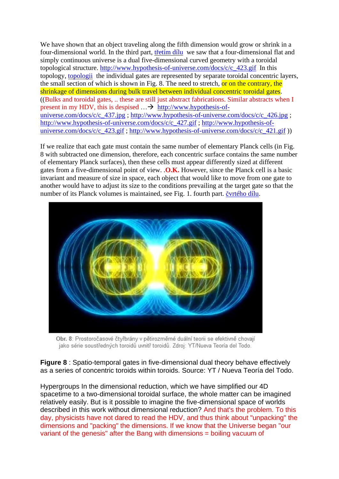We have shown that an object traveling along the fifth dimension would grow or shrink in a four-dimensional world. In the third part, [třetím dílu](https://www.aldebaran.cz/bulletin/2021_45_hol.php) we saw that a four-dimensional flat and simply continuous universe is a dual five-dimensional curved geometry with a toroidal topological structure. [http://www.hypothesis-of-universe.com/docs/c/c\\_423.gif](http://www.hypothesis-of-universe.com/docs/c/c_423.gif) In this topology, [topologii](https://www.aldebaran.cz/glossary/print.php?id=354) the individual gates are represented by separate toroidal concentric layers, the small section of which is shown in Fig. 8. The need to stretch, or on the contrary, the shrinkage of dimensions during bulk travel between individual concentric toroidal gates. ((Bulks and toroidal gates, .. these are still just abstract fabrications. Similar abstracts when I present in my HDV, this is despised  $\ldots \rightarrow$  [http://www.hypothesis-of](http://www.hypothesis-of-universe.com/docs/c/c_437.jpg)[universe.com/docs/c/c\\_437.jpg](http://www.hypothesis-of-universe.com/docs/c/c_437.jpg) ; [http://www.hypothesis-of-universe.com/docs/c/c\\_426.jpg](http://www.hypothesis-of-universe.com/docs/c/c_426.jpg) ; [http://www.hypothesis-of-universe.com/docs/c/c\\_427.gif](http://www.hypothesis-of-universe.com/docs/c/c_427.gif) ; [http://www.hypothesis-of](http://www.hypothesis-of-universe.com/docs/c/c_423.gif)[universe.com/docs/c/c\\_423.gif](http://www.hypothesis-of-universe.com/docs/c/c_423.gif) ; [http://www.hypothesis-of-universe.com/docs/c/c\\_421.gif](http://www.hypothesis-of-universe.com/docs/c/c_421.gif) ))

If we realize that each gate must contain the same number of elementary Planck cells (in Fig. 8 with subtracted one dimension, therefore, each concentric surface contains the same number of elementary Planck surfaces), then these cells must appear differently sized at different gates from a five-dimensional point of view. .**O.K.** However, since the Planck cell is a basic invariant and measure of size in space, each object that would like to move from one gate to another would have to adjust its size to the conditions prevailing at the target gate so that the number of its Planck volumes is maintained, see Fig. 1. fourth part. [čvrtého dílu.](https://www.aldebaran.cz/bulletin/2022_06/toroids.jpg) 



Obr. 8: Prostoročasové čtyřbrány v pětirozměrné duální teorii se efektivně chovají jako série soustředných toroidů uvnitř toroidů. Zdroj: YT/Nueva Teoría del Todo.

**Figure 8** : Spatio-temporal gates in five-dimensional dual theory behave effectively as a series of concentric toroids within toroids. Source: YT / Nueva Teoría del Todo.

Hypergroups In the dimensional reduction, which we have simplified our 4D spacetime to a two-dimensional toroidal surface, the whole matter can be imagined relatively easily. But is it possible to imagine the five-dimensional space of worlds described in this work without dimensional reduction? And that's the problem. To this day, physicists have not dared to read the HDV, and thus think about "unpacking" the dimensions and "packing" the dimensions. If we know that the Universe began "our variant of the genesis" after the Bang with dimensions = boiling vacuum of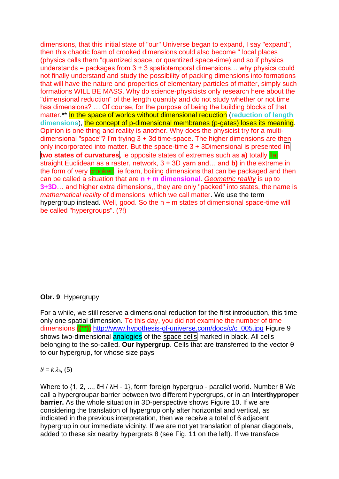dimensions, that this initial state of "our" Universe began to expand, I say "expand", then this chaotic foam of crooked dimensions could also become " local places (physics calls them "quantized space, or quantized space-time) and so if physics understands = packages from  $3 + 3$  spatiotemporal dimensions... why physics could not finally understand and study the possibility of packing dimensions into formations that will have the nature and properties of elementary particles of matter, simply such formations WILL BE MASS. Why do science-physicists only research here about the "dimensional reduction" of the length quantity and do not study whether or not time has dimensions? … Of course, for the purpose of being the building blocks of that matter.\*\* In the space of worlds without dimensional reduction (**reduction of length dimensions**), the concept of p-dimensional membranes (p-gates) loses its meaning. Opinion is one thing and reality is another. Why does the physicist try for a multidimensional "space"? I'm trying 3 + 3d time-space. The higher dimensions are then only incorporated into matter. But the space-time 3 + 3Dimensional is presented **in two states of curvatures**, ie opposite states of extremes such as **a)** totally flat straight Euclidean as a raster, network, 3 + 3D yarn and… and **b)** in the extreme in the form of very crooked, ie foam, boiling dimensions that can be packaged and then can be called a situation that are **n + m dimensional**. *Geometric reality* is up to **3+3D**… and higher extra dimensions,, they are only "packed" into states, the name is *mathematical reality* of dimensions, which we call matter. We use the term hypergroup instead. Well, good. So the n + m states of dimensional space-time will be called "hypergroups". (?!)

### **Obr. 9**: Hypergrupy

For a while, we still reserve a dimensional reduction for the first introduction, this time only one spatial dimension. To this day, you did not examine the number of time dimensions **((\*\*))** [http://www.hypothesis-of-universe.com/docs/c/c\\_005.jpg](http://www.hypothesis-of-universe.com/docs/c/c_005.jpg) Figure 9 shows two-dimensional analogies of the space cells marked in black. All cells belonging to the so-called. **Our hypergrup**. Cells that are transferred to the vector θ to our hypergrup, for whose size pays

### $\theta = k \lambda_{\rm h}$ , (5)

Where to {1, 2, ..., ℓH / λH - 1}, form foreign hypergrup - parallel world. Number θ We call a hypergroupar barrier between two different hypergrups, or in an **Interthyproper barrier.** As the whole situation in 3D-perspective shows Figure 10. If we are considering the translation of hypergrup only after horizontal and vertical, as indicated in the previous interpretation, then we receive a total of 6 adjacent hypergrup in our immediate vicinity. If we are not yet translation of planar diagonals, added to these six nearby hypergrets 8 (see Fig. 11 on the left). If we transface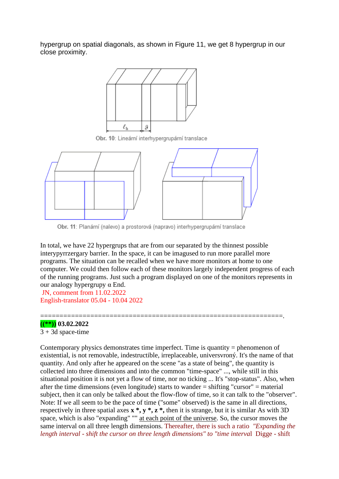hypergrup on spatial diagonals, as shown in Figure 11, we get 8 hypergrup in our close proximity.



Obr. 10: Lineární interhypergrupární translace



Obr. 11: Planární (nalevo) a prostorová (napravo) interhypergrupární translace

In total, we have 22 hypergrups that are from our separated by the thinnest possible interypyrrzergary barrier. In the space, it can be imagused to run more parallel more programs. The situation can be recalled when we have more monitors at home to one computer. We could then follow each of these monitors largely independent progress of each of the running programs. Just such a program displayed on one of the monitors represents in our analogy hypergrupy α End.

===============================================================.

JN, comment from 11.02.2022 English-translator 05.04 - 10.04 2022

#### **((\*\*)) 03.02.2022**

 $3 + 3d$  space-time

Contemporary physics demonstrates time imperfect. Time is quantity = phenomenon of existential, is not removable, indestructible, irreplaceable, universvroný. It's the name of that quantity. And only after he appeared on the scene "as a state of being", the quantity is collected into three dimensions and into the common "time-space" ..., while still in this situational position it is not yet a flow of time, nor no ticking ... It's "stop-status". Also, when after the time dimensions (even longitude) starts to wander = shifting "cursor" = material subject, then it can only be talked about the flow-flow of time, so it can talk to the "observer". Note: If we all seem to be the pace of time ("some" observed) is the same in all directions, respectively in three spatial axes **x \*, y \*, z \*,** then it is strange, but it is similar As with 3D space, which is also "expanding" "" at each point of the universe. So, the cursor moves the same interval on all three length dimensions. Thereafter, there is such a ratio *"Expanding the length interval - shift the cursor on three length dimensions" to "time interva*l Digge - shift